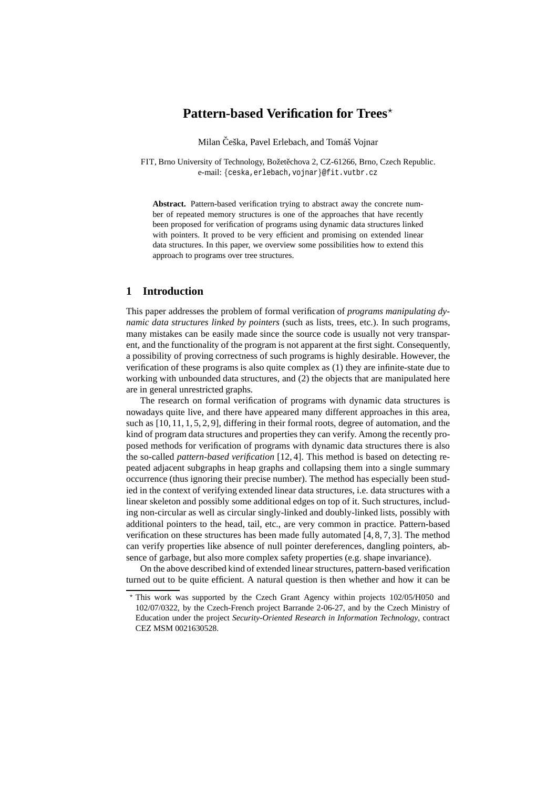# **Pattern-based Verification for Trees**?

Milan Češka, Pavel Erlebach, and Tomáš Vojnar

FIT, Brno University of Technology, Božetěchova 2, CZ-61266, Brno, Czech Republic. e-mail: {ceska,erlebach,vojnar}@fit.vutbr.cz

**Abstract.** Pattern-based verification trying to abstract away the concrete number of repeated memory structures is one of the approaches that have recently been proposed for verification of programs using dynamic data structures linked with pointers. It proved to be very efficient and promising on extended linear data structures. In this paper, we overview some possibilities how to extend this approach to programs over tree structures.

# **1 Introduction**

This paper addresses the problem of formal verification of *programs manipulating dynamic data structures linked by pointers* (such as lists, trees, etc.). In such programs, many mistakes can be easily made since the source code is usually not very transparent, and the functionality of the program is not apparent at the first sight. Consequently, a possibility of proving correctness of such programs is highly desirable. However, the verification of these programs is also quite complex as (1) they are infinite-state due to working with unbounded data structures, and (2) the objects that are manipulated here are in general unrestricted graphs.

The research on formal verification of programs with dynamic data structures is nowadays quite live, and there have appeared many different approaches in this area, such as [10, 11, 1, 5, 2, 9], differing in their formal roots, degree of automation, and the kind of program data structures and properties they can verify. Among the recently proposed methods for verification of programs with dynamic data structures there is also the so-called *pattern-based verification* [12, 4]. This method is based on detecting repeated adjacent subgraphs in heap graphs and collapsing them into a single summary occurrence (thus ignoring their precise number). The method has especially been studied in the context of verifying extended linear data structures, i.e. data structures with a linear skeleton and possibly some additional edges on top of it. Such structures, including non-circular as well as circular singly-linked and doubly-linked lists, possibly with additional pointers to the head, tail, etc., are very common in practice. Pattern-based verification on these structures has been made fully automated [4, 8, 7, 3]. The method can verify properties like absence of null pointer dereferences, dangling pointers, absence of garbage, but also more complex safety properties (e.g. shape invariance).

On the above described kind of extended linear structures, pattern-based verification turned out to be quite efficient. A natural question is then whether and how it can be

This work was supported by the Czech Grant Agency within projects 102/05/H050 and 102/07/0322, by the Czech-French project Barrande 2-06-27, and by the Czech Ministry of Education under the project *Security-Oriented Research in Information Technology*, contract CEZ MSM 0021630528.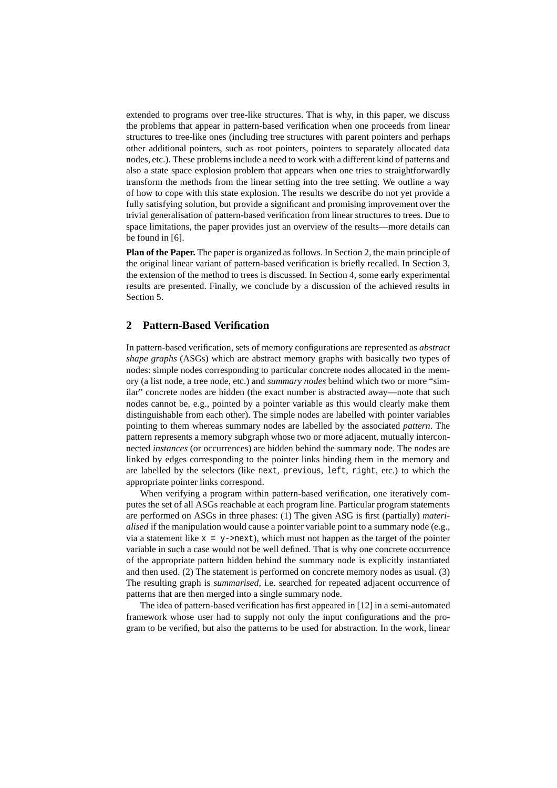extended to programs over tree-like structures. That is why, in this paper, we discuss the problems that appear in pattern-based verification when one proceeds from linear structures to tree-like ones (including tree structures with parent pointers and perhaps other additional pointers, such as root pointers, pointers to separately allocated data nodes, etc.). These problems include a need to work with a different kind of patterns and also a state space explosion problem that appears when one tries to straightforwardly transform the methods from the linear setting into the tree setting. We outline a way of how to cope with this state explosion. The results we describe do not yet provide a fully satisfying solution, but provide a significant and promising improvement over the trivial generalisation of pattern-based verification from linear structures to trees. Due to space limitations, the paper provides just an overview of the results—more details can be found in [6].

**Plan of the Paper.** The paper is organized as follows. In Section 2, the main principle of the original linear variant of pattern-based verification is briefly recalled. In Section 3, the extension of the method to trees is discussed. In Section 4, some early experimental results are presented. Finally, we conclude by a discussion of the achieved results in Section 5.

# **2 Pattern-Based Verification**

In pattern-based verification, sets of memory configurations are represented as *abstract shape graphs* (ASGs) which are abstract memory graphs with basically two types of nodes: simple nodes corresponding to particular concrete nodes allocated in the memory (a list node, a tree node, etc.) and *summary nodes* behind which two or more "similar" concrete nodes are hidden (the exact number is abstracted away—note that such nodes cannot be, e.g., pointed by a pointer variable as this would clearly make them distinguishable from each other). The simple nodes are labelled with pointer variables pointing to them whereas summary nodes are labelled by the associated *pattern*. The pattern represents a memory subgraph whose two or more adjacent, mutually interconnected *instances* (or occurrences) are hidden behind the summary node. The nodes are linked by edges corresponding to the pointer links binding them in the memory and are labelled by the selectors (like next, previous, left, right, etc.) to which the appropriate pointer links correspond.

When verifying a program within pattern-based verification, one iteratively computes the set of all ASGs reachable at each program line. Particular program statements are performed on ASGs in three phases: (1) The given ASG is first (partially) *materialised* if the manipulation would cause a pointer variable point to a summary node (e.g., via a statement like  $x = y$ ->next), which must not happen as the target of the pointer variable in such a case would not be well defined. That is why one concrete occurrence of the appropriate pattern hidden behind the summary node is explicitly instantiated and then used. (2) The statement is performed on concrete memory nodes as usual. (3) The resulting graph is *summarised*, i.e. searched for repeated adjacent occurrence of patterns that are then merged into a single summary node.

The idea of pattern-based verification has first appeared in [12] in a semi-automated framework whose user had to supply not only the input configurations and the program to be verified, but also the patterns to be used for abstraction. In the work, linear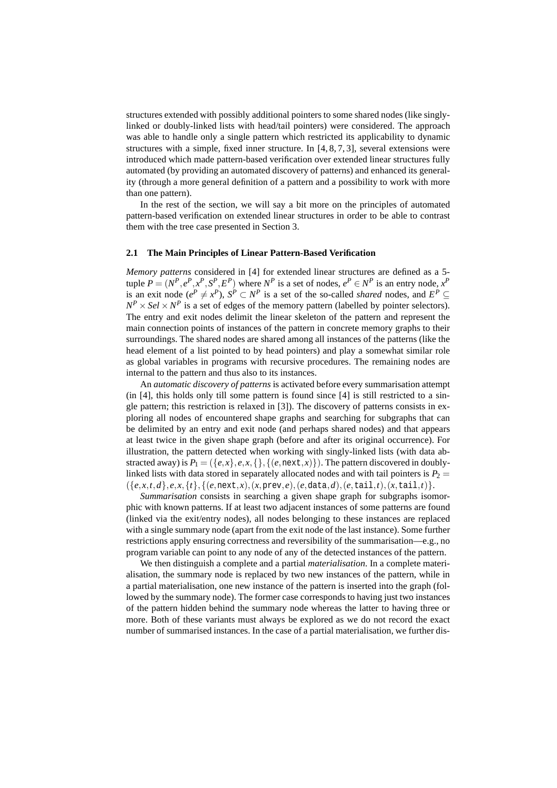structures extended with possibly additional pointers to some shared nodes (like singlylinked or doubly-linked lists with head/tail pointers) were considered. The approach was able to handle only a single pattern which restricted its applicability to dynamic structures with a simple, fixed inner structure. In  $[4, 8, 7, 3]$ , several extensions were introduced which made pattern-based verification over extended linear structures fully automated (by providing an automated discovery of patterns) and enhanced its generality (through a more general definition of a pattern and a possibility to work with more than one pattern).

In the rest of the section, we will say a bit more on the principles of automated pattern-based verification on extended linear structures in order to be able to contrast them with the tree case presented in Section 3.

#### **2.1 The Main Principles of Linear Pattern-Based Verification**

*Memory patterns* considered in [4] for extended linear structures are defined as a 5 tuple  $P = (N^P, e^P, x^P, S^P, E^P)$  where  $N^P$  is a set of nodes,  $e^P \in N^P$  is an entry node,  $x^P$ is an exit node  $(e^P \neq x^P)$ ,  $S^P \subset N^P$  is a set of the so-called *shared* nodes, and  $E^P \subseteq$  $N^P \times Sel \times N^P$  is a set of edges of the memory pattern (labelled by pointer selectors). The entry and exit nodes delimit the linear skeleton of the pattern and represent the main connection points of instances of the pattern in concrete memory graphs to their surroundings. The shared nodes are shared among all instances of the patterns (like the head element of a list pointed to by head pointers) and play a somewhat similar role as global variables in programs with recursive procedures. The remaining nodes are internal to the pattern and thus also to its instances.

An *automatic discovery of patterns* is activated before every summarisation attempt (in [4], this holds only till some pattern is found since [4] is still restricted to a single pattern; this restriction is relaxed in [3]). The discovery of patterns consists in exploring all nodes of encountered shape graphs and searching for subgraphs that can be delimited by an entry and exit node (and perhaps shared nodes) and that appears at least twice in the given shape graph (before and after its original occurrence). For illustration, the pattern detected when working with singly-linked lists (with data abstracted away) is  $P_1 = (\{e, x\}, e, x, \{\}, \{(e, \text{next}, x)\})$ . The pattern discovered in doublylinked lists with data stored in separately allocated nodes and with tail pointers is  $P_2$  = ({*e*,*x*,*t*,*d*},*e*,*x*,{*t*},{(*e*,next,*x*),(*x*,prev,*e*),(*e*,data,*d*),(*e*,tail,*t*),(*x*,tail,*t*)}.

*Summarisation* consists in searching a given shape graph for subgraphs isomorphic with known patterns. If at least two adjacent instances of some patterns are found (linked via the exit/entry nodes), all nodes belonging to these instances are replaced with a single summary node (apart from the exit node of the last instance). Some further restrictions apply ensuring correctness and reversibility of the summarisation—e.g., no program variable can point to any node of any of the detected instances of the pattern.

We then distinguish a complete and a partial *materialisation*. In a complete materialisation, the summary node is replaced by two new instances of the pattern, while in a partial materialisation, one new instance of the pattern is inserted into the graph (followed by the summary node). The former case corresponds to having just two instances of the pattern hidden behind the summary node whereas the latter to having three or more. Both of these variants must always be explored as we do not record the exact number of summarised instances. In the case of a partial materialisation, we further dis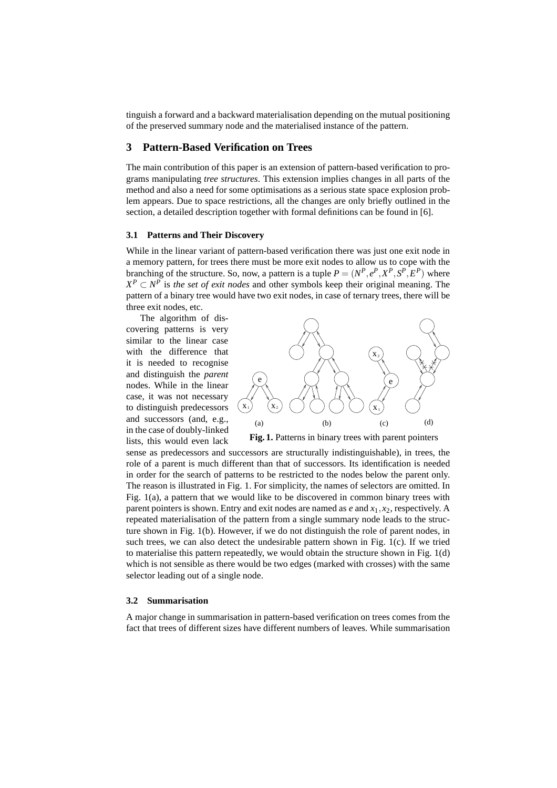tinguish a forward and a backward materialisation depending on the mutual positioning of the preserved summary node and the materialised instance of the pattern.

## **3 Pattern-Based Verification on Trees**

The main contribution of this paper is an extension of pattern-based verification to programs manipulating *tree structures*. This extension implies changes in all parts of the method and also a need for some optimisations as a serious state space explosion problem appears. Due to space restrictions, all the changes are only briefly outlined in the section, a detailed description together with formal definitions can be found in [6].

#### **3.1 Patterns and Their Discovery**

While in the linear variant of pattern-based verification there was just one exit node in a memory pattern, for trees there must be more exit nodes to allow us to cope with the branching of the structure. So, now, a pattern is a tuple  $P = (N^P, e^P, X^P, S^P, E^P)$  where  $X^P \subset N^P$  is *the set of exit nodes* and other symbols keep their original meaning. The pattern of a binary tree would have two exit nodes, in case of ternary trees, there will be three exit nodes, etc.

The algorithm of discovering patterns is very similar to the linear case with the difference that it is needed to recognise and distinguish the *parent* nodes. While in the linear case, it was not necessary to distinguish predecessors and successors (and, e.g., in the case of doubly-linked lists, this would even lack





sense as predecessors and successors are structurally indistinguishable), in trees, the role of a parent is much different than that of successors. Its identification is needed in order for the search of patterns to be restricted to the nodes below the parent only. The reason is illustrated in Fig. 1. For simplicity, the names of selectors are omitted. In Fig. 1(a), a pattern that we would like to be discovered in common binary trees with parent pointers is shown. Entry and exit nodes are named as *e* and *x*1,*x*2, respectively. A repeated materialisation of the pattern from a single summary node leads to the structure shown in Fig. 1(b). However, if we do not distinguish the role of parent nodes, in such trees, we can also detect the undesirable pattern shown in Fig. 1(c). If we tried to materialise this pattern repeatedly, we would obtain the structure shown in Fig. 1(d) which is not sensible as there would be two edges (marked with crosses) with the same selector leading out of a single node.

#### **3.2 Summarisation**

A major change in summarisation in pattern-based verification on trees comes from the fact that trees of different sizes have different numbers of leaves. While summarisation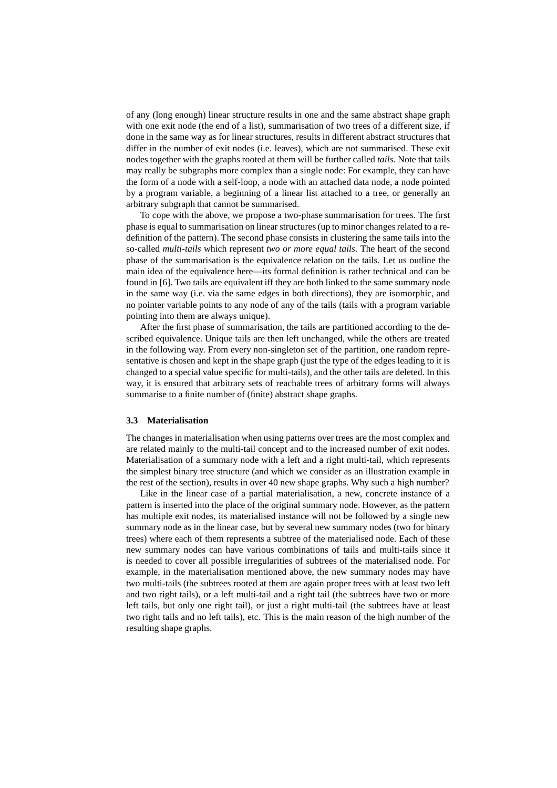of any (long enough) linear structure results in one and the same abstract shape graph with one exit node (the end of a list), summarisation of two trees of a different size, if done in the same way as for linear structures, results in different abstract structures that differ in the number of exit nodes (i.e. leaves), which are not summarised. These exit nodes together with the graphs rooted at them will be further called *tails*. Note that tails may really be subgraphs more complex than a single node: For example, they can have the form of a node with a self-loop, a node with an attached data node, a node pointed by a program variable, a beginning of a linear list attached to a tree, or generally an arbitrary subgraph that cannot be summarised.

To cope with the above, we propose a two-phase summarisation for trees. The first phase is equal to summarisation on linear structures (up to minor changes related to a redefinition of the pattern). The second phase consists in clustering the same tails into the so-called *multi-tails* which represent *two or more equal tails*. The heart of the second phase of the summarisation is the equivalence relation on the tails. Let us outline the main idea of the equivalence here—its formal definition is rather technical and can be found in [6]. Two tails are equivalent iff they are both linked to the same summary node in the same way (i.e. via the same edges in both directions), they are isomorphic, and no pointer variable points to any node of any of the tails (tails with a program variable pointing into them are always unique).

After the first phase of summarisation, the tails are partitioned according to the described equivalence. Unique tails are then left unchanged, while the others are treated in the following way. From every non-singleton set of the partition, one random representative is chosen and kept in the shape graph (just the type of the edges leading to it is changed to a special value specific for multi-tails), and the other tails are deleted. In this way, it is ensured that arbitrary sets of reachable trees of arbitrary forms will always summarise to a finite number of (finite) abstract shape graphs.

#### **3.3 Materialisation**

The changes in materialisation when using patterns over trees are the most complex and are related mainly to the multi-tail concept and to the increased number of exit nodes. Materialisation of a summary node with a left and a right multi-tail, which represents the simplest binary tree structure (and which we consider as an illustration example in the rest of the section), results in over 40 new shape graphs. Why such a high number?

Like in the linear case of a partial materialisation, a new, concrete instance of a pattern is inserted into the place of the original summary node. However, as the pattern has multiple exit nodes, its materialised instance will not be followed by a single new summary node as in the linear case, but by several new summary nodes (two for binary trees) where each of them represents a subtree of the materialised node. Each of these new summary nodes can have various combinations of tails and multi-tails since it is needed to cover all possible irregularities of subtrees of the materialised node. For example, in the materialisation mentioned above, the new summary nodes may have two multi-tails (the subtrees rooted at them are again proper trees with at least two left and two right tails), or a left multi-tail and a right tail (the subtrees have two or more left tails, but only one right tail), or just a right multi-tail (the subtrees have at least two right tails and no left tails), etc. This is the main reason of the high number of the resulting shape graphs.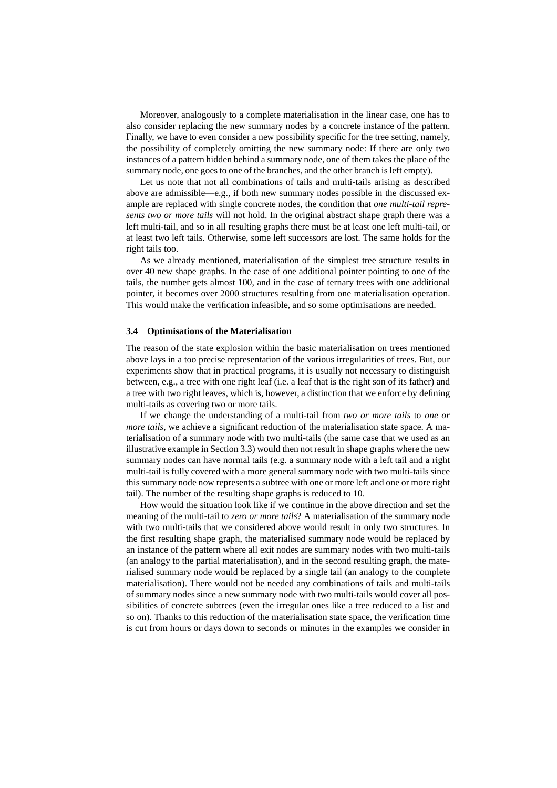Moreover, analogously to a complete materialisation in the linear case, one has to also consider replacing the new summary nodes by a concrete instance of the pattern. Finally, we have to even consider a new possibility specific for the tree setting, namely, the possibility of completely omitting the new summary node: If there are only two instances of a pattern hidden behind a summary node, one of them takes the place of the summary node, one goes to one of the branches, and the other branch is left empty).

Let us note that not all combinations of tails and multi-tails arising as described above are admissible—e.g., if both new summary nodes possible in the discussed example are replaced with single concrete nodes, the condition that *one multi-tail represents two or more tails* will not hold. In the original abstract shape graph there was a left multi-tail, and so in all resulting graphs there must be at least one left multi-tail, or at least two left tails. Otherwise, some left successors are lost. The same holds for the right tails too.

As we already mentioned, materialisation of the simplest tree structure results in over 40 new shape graphs. In the case of one additional pointer pointing to one of the tails, the number gets almost 100, and in the case of ternary trees with one additional pointer, it becomes over 2000 structures resulting from one materialisation operation. This would make the verification infeasible, and so some optimisations are needed.

### **3.4 Optimisations of the Materialisation**

The reason of the state explosion within the basic materialisation on trees mentioned above lays in a too precise representation of the various irregularities of trees. But, our experiments show that in practical programs, it is usually not necessary to distinguish between, e.g., a tree with one right leaf (i.e. a leaf that is the right son of its father) and a tree with two right leaves, which is, however, a distinction that we enforce by defining multi-tails as covering two or more tails.

If we change the understanding of a multi-tail from *two or more tails* to *one or more tails*, we achieve a significant reduction of the materialisation state space. A materialisation of a summary node with two multi-tails (the same case that we used as an illustrative example in Section 3.3) would then not result in shape graphs where the new summary nodes can have normal tails (e.g. a summary node with a left tail and a right multi-tail is fully covered with a more general summary node with two multi-tails since this summary node now represents a subtree with one or more left and one or more right tail). The number of the resulting shape graphs is reduced to 10.

How would the situation look like if we continue in the above direction and set the meaning of the multi-tail to *zero or more tails*? A materialisation of the summary node with two multi-tails that we considered above would result in only two structures. In the first resulting shape graph, the materialised summary node would be replaced by an instance of the pattern where all exit nodes are summary nodes with two multi-tails (an analogy to the partial materialisation), and in the second resulting graph, the materialised summary node would be replaced by a single tail (an analogy to the complete materialisation). There would not be needed any combinations of tails and multi-tails of summary nodes since a new summary node with two multi-tails would cover all possibilities of concrete subtrees (even the irregular ones like a tree reduced to a list and so on). Thanks to this reduction of the materialisation state space, the verification time is cut from hours or days down to seconds or minutes in the examples we consider in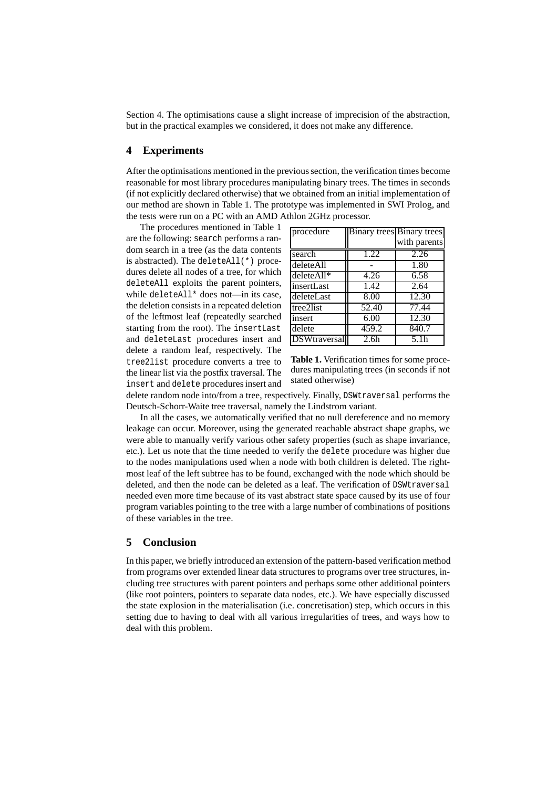Section 4. The optimisations cause a slight increase of imprecision of the abstraction, but in the practical examples we considered, it does not make any difference.

# **4 Experiments**

After the optimisations mentioned in the previous section, the verification times become reasonable for most library procedures manipulating binary trees. The times in seconds (if not explicitly declared otherwise) that we obtained from an initial implementation of our method are shown in Table 1. The prototype was implemented in SWI Prolog, and the tests were run on a PC with an AMD Athlon 2GHz processor.

The procedures mentioned in Table 1 are the following: search performs a random search in a tree (as the data contents is abstracted). The deleteAll(\*) procedures delete all nodes of a tree, for which deleteAll exploits the parent pointers, while deleteAll<sup>\*</sup> does not—in its case, the deletion consists in a repeated deletion of the leftmost leaf (repeatedly searched starting from the root). The insertLast and deleteLast procedures insert and delete a random leaf, respectively. The tree2list procedure converts a tree to the linear list via the postfix traversal. The insert and delete procedures insert and

| procedure           |                  | <b>Binary trees Binary trees</b> |
|---------------------|------------------|----------------------------------|
|                     |                  | with parents                     |
| search              | 1.22             | 2.26                             |
| deleteAll           |                  | 1.80                             |
| deleteAll*          | 4.26             | 6.58                             |
| <i>insertLast</i>   | 1.42             | 2.64                             |
| deleteLast          | 8.00             | 12.30                            |
| tree2list           | 52.40            | 77.44                            |
| insert              | 6.00             | 12.30                            |
| delete              | 459.2            | 840.7                            |
| <b>DSWtraversal</b> | 2.6 <sub>h</sub> | 5.1 <sub>h</sub>                 |

**Table 1.** Verification times for some procedures manipulating trees (in seconds if not stated otherwise)

delete random node into/from a tree, respectively. Finally, DSWtraversal performs the Deutsch-Schorr-Waite tree traversal, namely the Lindstrom variant.

In all the cases, we automatically verified that no null dereference and no memory leakage can occur. Moreover, using the generated reachable abstract shape graphs, we were able to manually verify various other safety properties (such as shape invariance, etc.). Let us note that the time needed to verify the delete procedure was higher due to the nodes manipulations used when a node with both children is deleted. The rightmost leaf of the left subtree has to be found, exchanged with the node which should be deleted, and then the node can be deleted as a leaf. The verification of DSWtraversal needed even more time because of its vast abstract state space caused by its use of four program variables pointing to the tree with a large number of combinations of positions of these variables in the tree.

### **5 Conclusion**

In this paper, we briefly introduced an extension of the pattern-based verification method from programs over extended linear data structures to programs over tree structures, including tree structures with parent pointers and perhaps some other additional pointers (like root pointers, pointers to separate data nodes, etc.). We have especially discussed the state explosion in the materialisation (i.e. concretisation) step, which occurs in this setting due to having to deal with all various irregularities of trees, and ways how to deal with this problem.